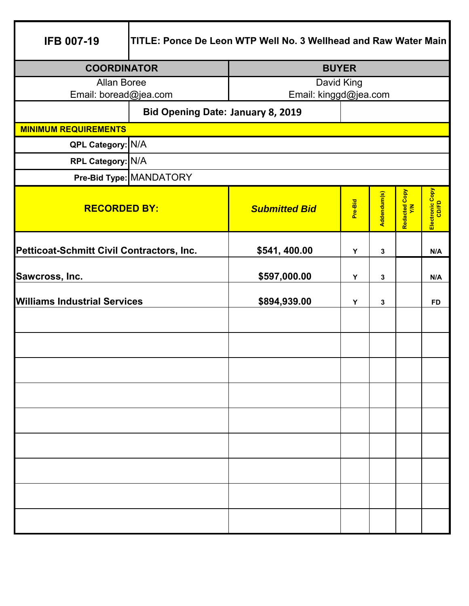| <b>IFB 007-19</b>                         | TITLE: Ponce De Leon WTP Well No. 3 Wellhead and Raw Water Main |                       |              |             |                      |                          |
|-------------------------------------------|-----------------------------------------------------------------|-----------------------|--------------|-------------|----------------------|--------------------------|
| <b>COORDINATOR</b>                        |                                                                 |                       | <b>BUYER</b> |             |                      |                          |
| <b>Allan Boree</b>                        |                                                                 | David King            |              |             |                      |                          |
| Email: boread@jea.com                     |                                                                 | Email: kinggd@jea.com |              |             |                      |                          |
|                                           | <b>Bid Opening Date: January 8, 2019</b>                        |                       |              |             |                      |                          |
| <b>MINIMUM REQUIREMENTS</b>               |                                                                 |                       |              |             |                      |                          |
| QPL Category: N/A                         |                                                                 |                       |              |             |                      |                          |
| RPL Category: N/A                         |                                                                 |                       |              |             |                      |                          |
|                                           | Pre-Bid Type: MANDATORY                                         |                       |              |             |                      |                          |
| <b>RECORDED BY:</b>                       |                                                                 | <b>Submitted Bid</b>  | Pre-Bid      | Addendum(s) | Redacted Copy<br>Y/N | Electronic Copy<br>CD/FD |
| Petticoat-Schmitt Civil Contractors, Inc. |                                                                 | \$541, 400.00         | Y            | 3           |                      | N/A                      |
| Sawcross, Inc.                            |                                                                 | \$597,000.00          | Y            | 3           |                      | N/A                      |
| <b>Williams Industrial Services</b>       |                                                                 | \$894,939.00          | Y            | 3           |                      | <b>FD</b>                |
|                                           |                                                                 |                       |              |             |                      |                          |
|                                           |                                                                 |                       |              |             |                      |                          |
|                                           |                                                                 |                       |              |             |                      |                          |
|                                           |                                                                 |                       |              |             |                      |                          |
|                                           |                                                                 |                       |              |             |                      |                          |
|                                           |                                                                 |                       |              |             |                      |                          |
|                                           |                                                                 |                       |              |             |                      |                          |
|                                           |                                                                 |                       |              |             |                      |                          |
|                                           |                                                                 |                       |              |             |                      |                          |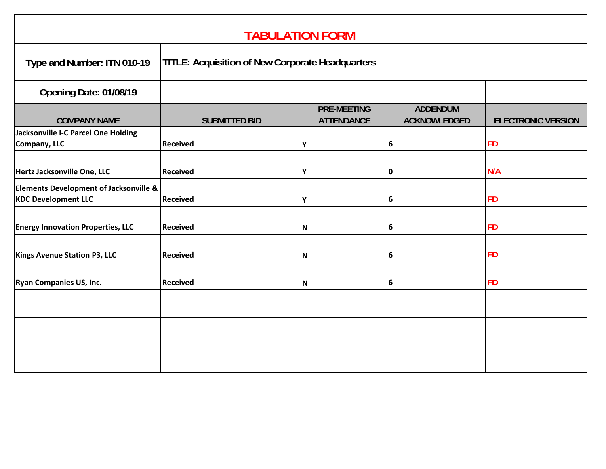| <b>TABULATION FORM</b>                                                          |                                                         |                                         |                                        |                           |
|---------------------------------------------------------------------------------|---------------------------------------------------------|-----------------------------------------|----------------------------------------|---------------------------|
| Type and Number: ITN 010-19                                                     | <b>TITLE: Acquisition of New Corporate Headquarters</b> |                                         |                                        |                           |
| Opening Date: 01/08/19                                                          |                                                         |                                         |                                        |                           |
| <b>COMPANY NAME</b>                                                             | <b>SUBMITTED BID</b>                                    | <b>PRE-MEETING</b><br><b>ATTENDANCE</b> | <b>ADDENDUM</b><br><b>ACKNOWLEDGED</b> | <b>ELECTRONIC VERSION</b> |
| Jacksonville I-C Parcel One Holding<br>Company, LLC                             | <b>Received</b>                                         | Υ                                       | 6                                      | <b>FD</b>                 |
| Hertz Jacksonville One, LLC                                                     | <b>Received</b>                                         | Υ                                       | 0                                      | N/A                       |
| <b>Elements Development of Jacksonville &amp;</b><br><b>KDC Development LLC</b> | <b>Received</b>                                         | Y                                       | 6                                      | <b>FD</b>                 |
| <b>Energy Innovation Properties, LLC</b>                                        | <b>Received</b>                                         | N                                       | 6                                      | <b>FD</b>                 |
| <b>Kings Avenue Station P3, LLC</b>                                             | <b>Received</b>                                         | N                                       | 6                                      | <b>FD</b>                 |
| <b>Ryan Companies US, Inc.</b>                                                  | <b>Received</b>                                         | N                                       | 6                                      | <b>FD</b>                 |
|                                                                                 |                                                         |                                         |                                        |                           |
|                                                                                 |                                                         |                                         |                                        |                           |
|                                                                                 |                                                         |                                         |                                        |                           |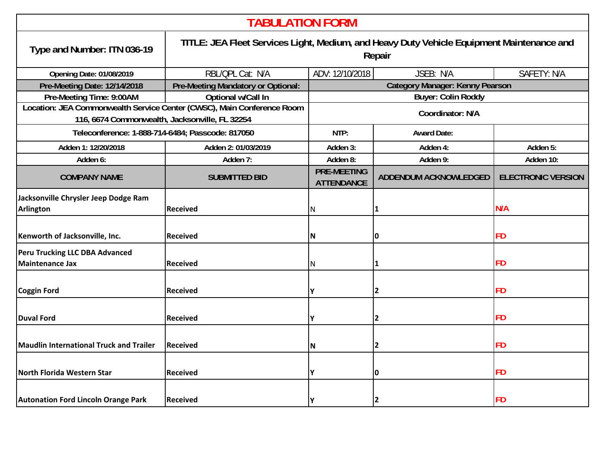| <b>TABULATION FORM</b>                                                                                                   |                                                                                                     |                                             |                              |                           |
|--------------------------------------------------------------------------------------------------------------------------|-----------------------------------------------------------------------------------------------------|---------------------------------------------|------------------------------|---------------------------|
| Type and Number: ITN 036-19                                                                                              | TITLE: JEA Fleet Services Light, Medium, and Heavy Duty Vehicle Equipment Maintenance and<br>Repair |                                             |                              |                           |
| <b>Opening Date: 01/08/2019</b>                                                                                          | RBL/QPL Cat: N/A                                                                                    | JSEB: N/A<br>ADV: 12/10/2018<br>SAFETY: N/A |                              |                           |
| Pre-Meeting Date: 12/14/2018                                                                                             | Pre-Meeting Mandatory or Optional:                                                                  | <b>Category Manager: Kenny Pearson</b>      |                              |                           |
| Pre-Meeting Time: 9:00AM                                                                                                 | Optional w/Call In                                                                                  | <b>Buyer: Colin Roddy</b>                   |                              |                           |
| Location: JEA Commonwealth Service Center (CWSC), Main Conference Room<br>116, 6674 Commonwealth, Jacksonville, FL 32254 |                                                                                                     | Coordinator: N/A                            |                              |                           |
| Teleconference: 1-888-714-6484; Passcode: 817050                                                                         |                                                                                                     | NTP:<br><b>Award Date:</b>                  |                              |                           |
| Adden 1: 12/20/2018                                                                                                      | Adden 2: 01/03/2019                                                                                 | Adden 3:                                    | Adden 4:                     | Adden 5:                  |
| Adden 6:                                                                                                                 | Adden 7:                                                                                            | Adden 8:                                    | Adden 9:                     | Adden 10:                 |
| <b>COMPANY NAME</b>                                                                                                      | <b>SUBMITTED BID</b>                                                                                | <b>PRE-MEETING</b><br><b>ATTENDANCE</b>     | <b>ADDENDUM ACKNOWLEDGED</b> | <b>ELECTRONIC VERSION</b> |
| Jacksonville Chrysler Jeep Dodge Ram<br><b>Arlington</b>                                                                 | <b>Received</b>                                                                                     | N                                           | 1                            | N/A                       |
| Kenworth of Jacksonville, Inc.                                                                                           | <b>Received</b>                                                                                     | N                                           | 0                            | <b>FD</b>                 |
| Peru Trucking LLC DBA Advanced<br><b>Maintenance Jax</b>                                                                 | <b>Received</b>                                                                                     | N                                           | 1                            | <b>FD</b>                 |
| <b>Coggin Ford</b>                                                                                                       | <b>Received</b>                                                                                     | Y                                           | $\overline{2}$               | <b>FD</b>                 |
| <b>Duval Ford</b>                                                                                                        | <b>Received</b>                                                                                     | Y                                           | $\overline{2}$               | <b>FD</b>                 |
| <b>Maudlin International Truck and Trailer</b>                                                                           | <b>Received</b>                                                                                     | N                                           | $\overline{2}$               | <b>FD</b>                 |
| North Florida Western Star                                                                                               | <b>Received</b>                                                                                     | Υ                                           | 0                            | FD                        |
| <b>Autonation Ford Lincoln Orange Park</b>                                                                               | <b>Received</b>                                                                                     | γ                                           | <b>2</b>                     | <b>FD</b>                 |